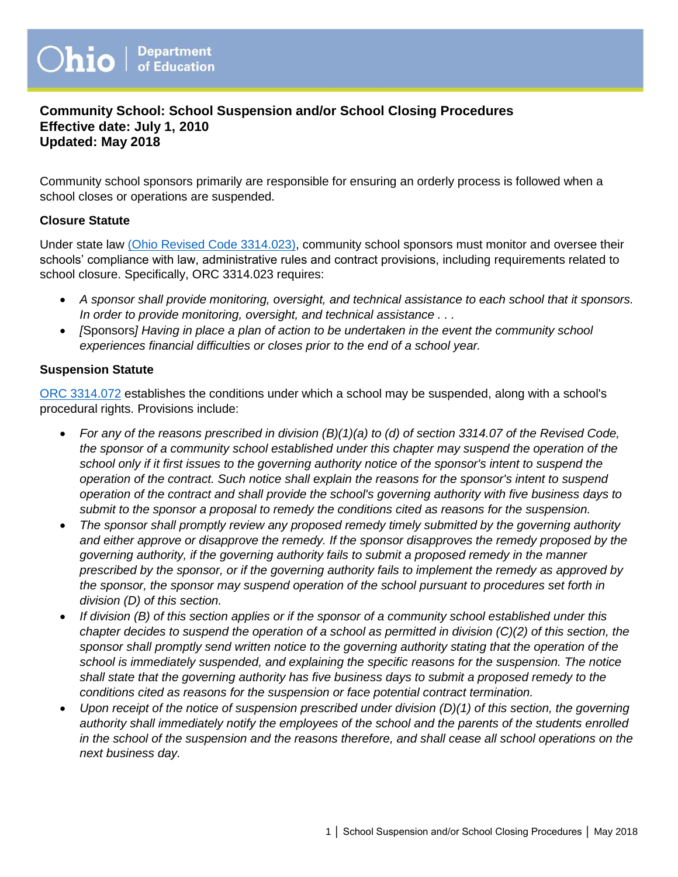# **Community School: School Suspension and/or School Closing Procedures Effective date: July 1, 2010 Updated: May 2018**

Community school sponsors primarily are responsible for ensuring an orderly process is followed when a school closes or operations are suspended.

#### **Closure Statute**

Under state law [\(Ohio Revised Code 3314.023\),](http://codes.ohio.gov/orc/3314.023v1) community school sponsors must monitor and oversee their schools' compliance with law, administrative rules and contract provisions, including requirements related to school closure. Specifically, ORC 3314.023 requires:

- *A sponsor shall provide monitoring, oversight, and technical assistance to each school that it sponsors. In order to provide monitoring, oversight, and technical assistance . . .*
- *[*Sponsors*] Having in place a plan of action to be undertaken in the event the community school experiences financial difficulties or closes prior to the end of a school year.*

#### **Suspension Statute**

[ORC 3314.072](http://codes.ohio.gov/orc/3314.072) establishes the conditions under which a school may be suspended, along with a school's procedural rights. Provisions include:

- *For any of the reasons prescribed in division (B)(1)(a) to (d) of section 3314.07 of the Revised Code, the sponsor of a community school established under this chapter may suspend the operation of the school only if it first issues to the governing authority notice of the sponsor's intent to suspend the operation of the contract. Such notice shall explain the reasons for the sponsor's intent to suspend operation of the contract and shall provide the school's governing authority with five business days to submit to the sponsor a proposal to remedy the conditions cited as reasons for the suspension.*
- *The sponsor shall promptly review any proposed remedy timely submitted by the governing authority and either approve or disapprove the remedy. If the sponsor disapproves the remedy proposed by the governing authority, if the governing authority fails to submit a proposed remedy in the manner prescribed by the sponsor, or if the governing authority fails to implement the remedy as approved by the sponsor, the sponsor may suspend operation of the school pursuant to procedures set forth in division (D) of this section.*
- *If division (B) of this section applies or if the sponsor of a community school established under this chapter decides to suspend the operation of a school as permitted in division (C)(2) of this section, the sponsor shall promptly send written notice to the governing authority stating that the operation of the school is immediately suspended, and explaining the specific reasons for the suspension. The notice shall state that the governing authority has five business days to submit a proposed remedy to the conditions cited as reasons for the suspension or face potential contract termination.*
- *Upon receipt of the notice of suspension prescribed under division (D)(1) of this section, the governing authority shall immediately notify the employees of the school and the parents of the students enrolled in the school of the suspension and the reasons therefore, and shall cease all school operations on the next business day.*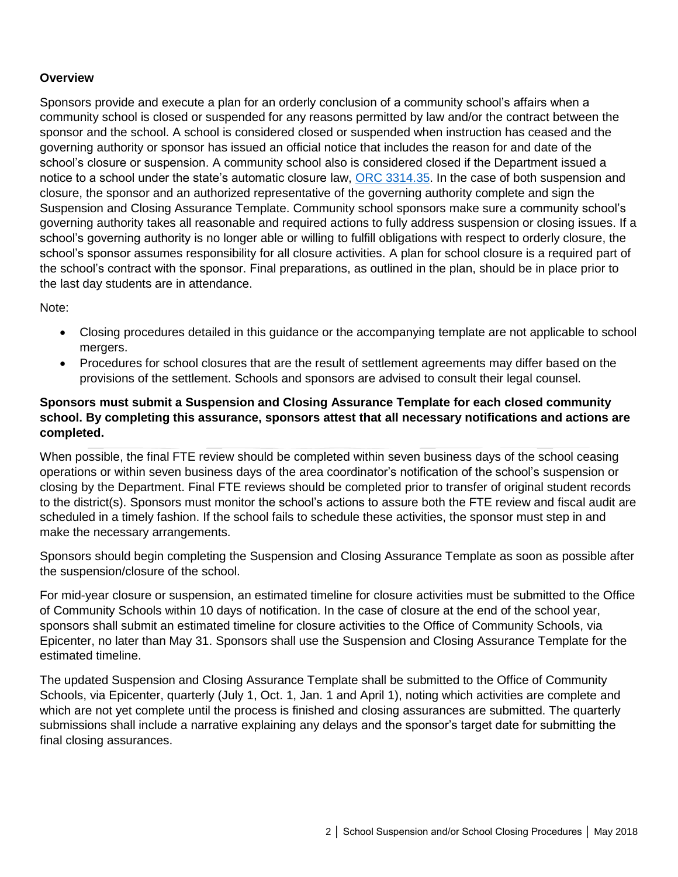#### **Overview**

Sponsors provide and execute a plan for an orderly conclusion of a community school's affairs when a community school is closed or suspended for any reasons permitted by law and/or the contract between the sponsor and the school. A school is considered closed or suspended when instruction has ceased and the governing authority or sponsor has issued an official notice that includes the reason for and date of the school's closure or suspension. A community school also is considered closed if the Department issued a notice to a school under the state's automatic closure law, [ORC 3314.35.](http://codes.ohio.gov/orc/3314.35) In the case of both suspension and closure, the sponsor and an authorized representative of the governing authority complete and sign the Suspension and Closing Assurance Template. Community school sponsors make sure a community school's governing authority takes all reasonable and required actions to fully address suspension or closing issues. If a school's governing authority is no longer able or willing to fulfill obligations with respect to orderly closure, the school's sponsor assumes responsibility for all closure activities. A plan for school closure is a required part of the school's contract with the sponsor. Final preparations, as outlined in the plan, should be in place prior to the last day students are in attendance.

Note:

- Closing procedures detailed in this guidance or the accompanying template are not applicable to school mergers.
- Procedures for school closures that are the result of settlement agreements may differ based on the provisions of the settlement. Schools and sponsors are advised to consult their legal counsel.

# **Sponsors must submit a Suspension and Closing Assurance Template for each closed community school. By completing this assurance, sponsors attest that all necessary notifications and actions are completed.**

When possible, the final FTE review should be completed within seven business days of the school ceasing operations or within seven business days of the area coordinator's notification of the school's suspension or closing by the Department. Final FTE reviews should be completed prior to transfer of original student records to the district(s). Sponsors must monitor the school's actions to assure both the FTE review and fiscal audit are scheduled in a timely fashion. If the school fails to schedule these activities, the sponsor must step in and make the necessary arrangements.

Sponsors should begin completing the Suspension and Closing Assurance Template as soon as possible after the suspension/closure of the school.

For mid-year closure or suspension, an estimated timeline for closure activities must be submitted to the Office of Community Schools within 10 days of notification. In the case of closure at the end of the school year, sponsors shall submit an estimated timeline for closure activities to the Office of Community Schools, via Epicenter, no later than May 31. Sponsors shall use the Suspension and Closing Assurance Template for the estimated timeline.

The updated Suspension and Closing Assurance Template shall be submitted to the Office of Community Schools, via Epicenter, quarterly (July 1, Oct. 1, Jan. 1 and April 1), noting which activities are complete and which are not yet complete until the process is finished and closing assurances are submitted. The quarterly submissions shall include a narrative explaining any delays and the sponsor's target date for submitting the final closing assurances.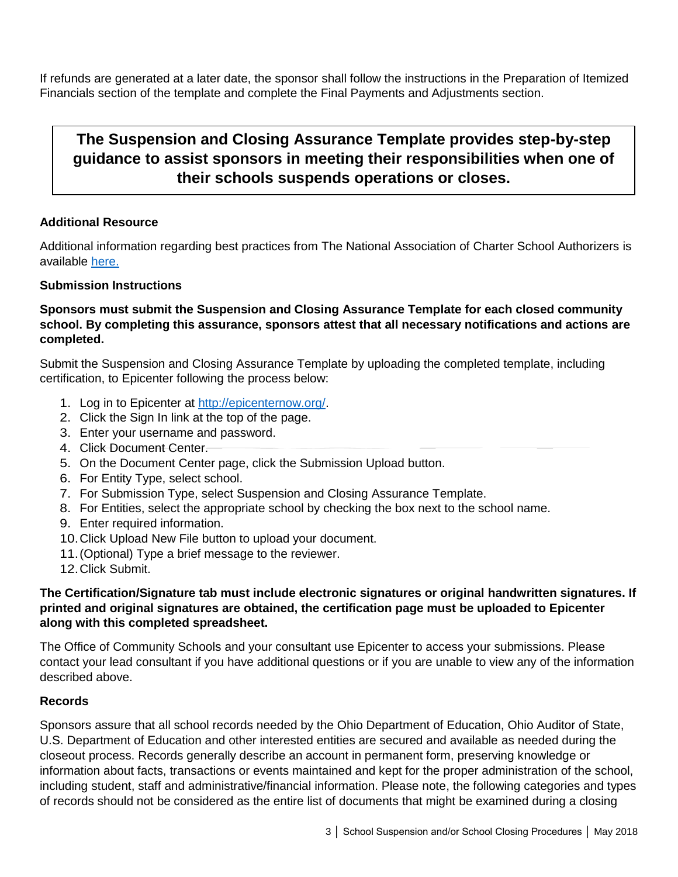If refunds are generated at a later date, the sponsor shall follow the instructions in the Preparation of Itemized Financials section of the template and complete the Final Payments and Adjustments section.

# **The Suspension and Closing Assurance Template provides step-by-step guidance to assist sponsors in meeting their responsibilities when one of their schools suspends operations or closes.**

# **Additional Resource**

Additional information regarding best practices from The National Association of Charter School Authorizers is available [here.](http://www.qualitycharters.org/wp-content/uploads/2015/11/IssueBrief_NavigatingTheClosureProcess_2011.05.pdf)

## **Submission Instructions**

# **Sponsors must submit the Suspension and Closing Assurance Template for each closed community school. By completing this assurance, sponsors attest that all necessary notifications and actions are completed.**

Submit the Suspension and Closing Assurance Template by uploading the completed template, including certification, to Epicenter following the process below:

- 1. Log in to Epicenter at [http://epicenternow.org/.](http://epicenternow.org/)
- 2. Click the Sign In link at the top of the page.
- 3. Enter your username and password.
- 4. Click Document Center.
- 5. On the Document Center page, click the Submission Upload button.
- 6. For Entity Type, select school.
- 7. For Submission Type, select Suspension and Closing Assurance Template.
- 8. For Entities, select the appropriate school by checking the box next to the school name.
- 9. Enter required information.
- 10.Click Upload New File button to upload your document.
- 11.(Optional) Type a brief message to the reviewer.
- 12.Click Submit.

# **The Certification/Signature tab must include electronic signatures or original handwritten signatures. If printed and original signatures are obtained, the certification page must be uploaded to Epicenter along with this completed spreadsheet.**

The Office of Community Schools and your consultant use Epicenter to access your submissions. Please contact your lead consultant if you have additional questions or if you are unable to view any of the information described above.

## **Records**

Sponsors assure that all school records needed by the Ohio Department of Education, Ohio Auditor of State, U.S. Department of Education and other interested entities are secured and available as needed during the closeout process. Records generally describe an account in permanent form, preserving knowledge or information about facts, transactions or events maintained and kept for the proper administration of the school, including student, staff and administrative/financial information. Please note, the following categories and types of records should not be considered as the entire list of documents that might be examined during a closing